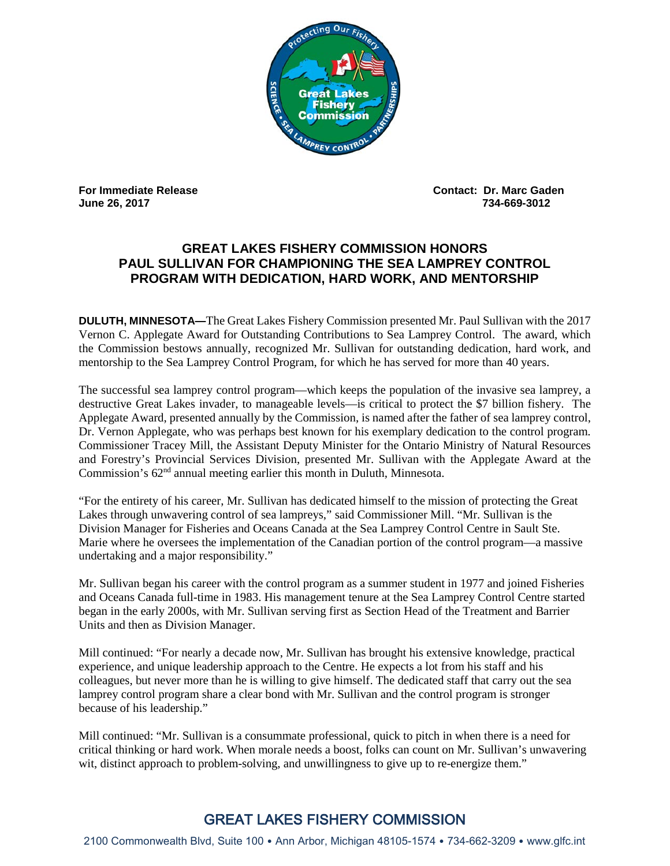

**June 26, 2017** 

**For Immediate Release Contact: Dr. Marc Gaden**

## **GREAT LAKES FISHERY COMMISSION HONORS PAUL SULLIVAN FOR CHAMPIONING THE SEA LAMPREY CONTROL PROGRAM WITH DEDICATION, HARD WORK, AND MENTORSHIP**

**DULUTH, MINNESOTA—**The Great Lakes Fishery Commission presented Mr. Paul Sullivan with the 2017 Vernon C. Applegate Award for Outstanding Contributions to Sea Lamprey Control. The award, which the Commission bestows annually, recognized Mr. Sullivan for outstanding dedication, hard work, and mentorship to the Sea Lamprey Control Program, for which he has served for more than 40 years.

The successful sea lamprey control program—which keeps the population of the invasive sea lamprey, a destructive Great Lakes invader, to manageable levels—is critical to protect the \$7 billion fishery. The Applegate Award, presented annually by the Commission, is named after the father of sea lamprey control, Dr. Vernon Applegate, who was perhaps best known for his exemplary dedication to the control program. Commissioner Tracey Mill, the Assistant Deputy Minister for the Ontario Ministry of Natural Resources and Forestry's Provincial Services Division, presented Mr. Sullivan with the Applegate Award at the Commission's  $62<sup>nd</sup>$  annual meeting earlier this month in Duluth, Minnesota.

"For the entirety of his career, Mr. Sullivan has dedicated himself to the mission of protecting the Great Lakes through unwavering control of sea lampreys," said Commissioner Mill. "Mr. Sullivan is the Division Manager for Fisheries and Oceans Canada at the Sea Lamprey Control Centre in Sault Ste. Marie where he oversees the implementation of the Canadian portion of the control program—a massive undertaking and a major responsibility."

Mr. Sullivan began his career with the control program as a summer student in 1977 and joined Fisheries and Oceans Canada full-time in 1983. His management tenure at the Sea Lamprey Control Centre started began in the early 2000s, with Mr. Sullivan serving first as Section Head of the Treatment and Barrier Units and then as Division Manager.

Mill continued: "For nearly a decade now, Mr. Sullivan has brought his extensive knowledge, practical experience, and unique leadership approach to the Centre. He expects a lot from his staff and his colleagues, but never more than he is willing to give himself. The dedicated staff that carry out the sea lamprey control program share a clear bond with Mr. Sullivan and the control program is stronger because of his leadership."

Mill continued: "Mr. Sullivan is a consummate professional, quick to pitch in when there is a need for critical thinking or hard work. When morale needs a boost, folks can count on Mr. Sullivan's unwavering wit, distinct approach to problem-solving, and unwillingness to give up to re-energize them."

## GREAT LAKES FISHERY COMMISSION